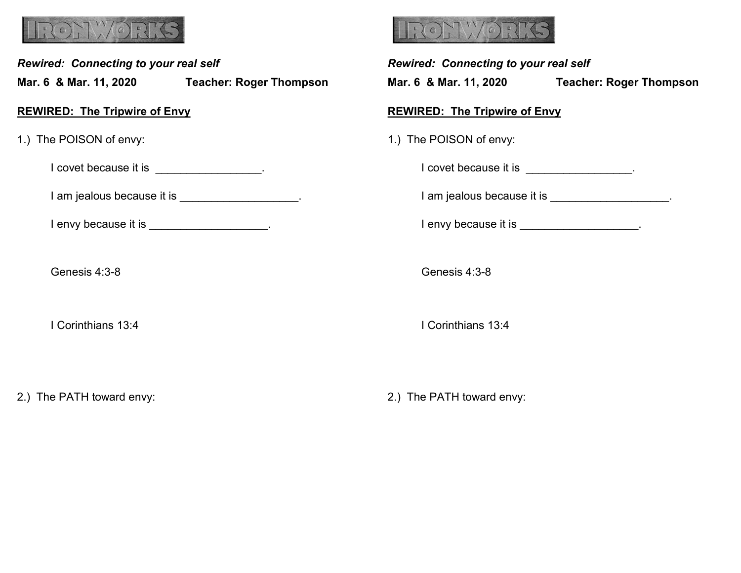

*Rewired: Connecting to your real self*

**Mar. 6 & Mar. 11, 2020 Teacher: Roger Thompson**

**REWIRED: The Tripwire of Envy**

1.) The POISON of envy:

I covet because it is \_\_\_\_\_\_\_\_\_\_\_\_\_\_\_\_\_.

I am jealous because it is \_\_\_\_\_\_\_\_\_\_\_\_\_\_\_\_\_\_.

I envy because it is **EXACUSE 1** 

Genesis 4:3-8

I Corinthians 13:4

2.) The PATH toward envy:



*Rewired: Connecting to your real self* **Mar. 6 & Mar. 11, 2020 Teacher: Roger Thompson REWIRED: The Tripwire of Envy** 1.) The POISON of envy: I covet because it is \_\_\_\_\_\_\_\_\_\_\_\_\_\_\_\_\_. I am jealous because it is \_\_\_\_\_\_\_\_\_\_\_\_\_\_\_\_\_\_\_. I envy because it is **EXALUS** Genesis 4:3-8 I Corinthians 13:4

2.) The PATH toward envy: